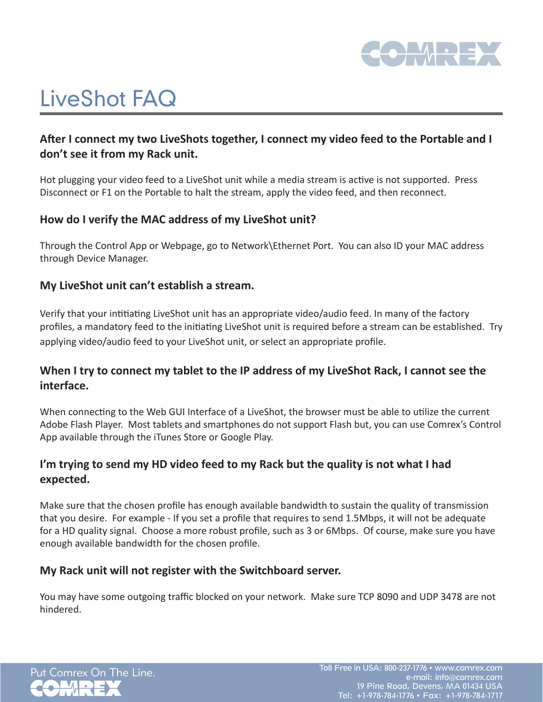

# LiveShot FAQ

## **After I connect my two LiveShots together, I connect my video feed to the Portable and I don't see it from my Rack unit.**

Hot plugging your video feed to a LiveShot unit while a media stream is active is not supported. Press Disconnect or F1 on the Portable to halt the stream, apply the video feed, and then reconnect.

## **How do I verify the MAC address of my LiveShot unit?**

Through the Control App or Webpage, go to Network\Ethernet Port. You can also ID your MAC address through Device Manager.

### **My LiveShot unit can't establish a stream.**

Verify that your intitiating LiveShot unit has an appropriate video/audio feed. In many of the factory profiles, a mandatory feed to the initiating LiveShot unit is required before a stream can be established. Try applying video/audio feed to your LiveShot unit, or select an appropriate profile.

## **When I try to connect my tablet to the IP address of my LiveShot Rack, I cannot see the interface.**

When connecting to the Web GUI Interface of a LiveShot, the browser must be able to utilize the current Adobe Flash Player. Most tablets and smartphones do not support Flash but, you can use Comrex's Control App available through the iTunes Store or Google Play.

## **I'm trying to send my HD video feed to my Rack but the quality is not what I had expected.**

Make sure that the chosen profile has enough available bandwidth to sustain the quality of transmission that you desire. For example - If you set a profile that requires to send 1.5Mbps, it will not be adequate for a HD quality signal. Choose a more robust profile, such as 3 or 6Mbps. Of course, make sure you have enough available bandwidth for the chosen profile.

### **My Rack unit will not register with the Switchboard server.**

You may have some outgoing traffic blocked on your network. Make sure TCP 8090 and UDP 3478 are not hindered.